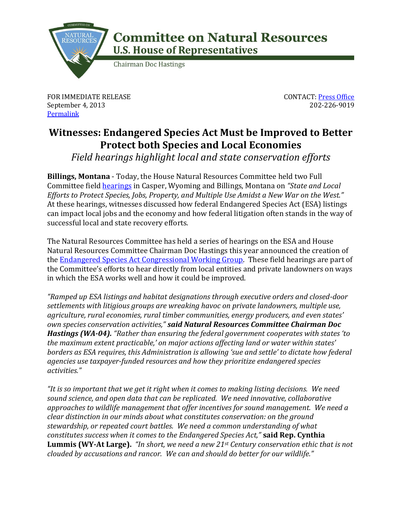

## **Committee on Natural Resources U.S. House of Representatives**

**Chairman Doc Hastings** 

FOR IMMEDIATE RELEASE September 4, 2013 **[Permalink](http://naturalresources.house.gov/news/documentsingle.aspx?DocumentID=347603)** 

CONTACT: [Press Office](http://naturalresources.house.gov/contact/media.htm) 202-226-9019

## **Witnesses: Endangered Species Act Must be Improved to Better Protect both Species and Local Economies**

*Field hearings highlight local and state conservation efforts*

**Billings, Montana** - Today, the House Natural Resources Committee held two Full Committee field [hearings](http://naturalresources.house.gov/calendar/list.aspx?Day=9%2f4%2f2013) in Casper, Wyoming and Billings, Montana on *"State and Local Efforts to Protect Species, Jobs, Property, and Multiple Use Amidst a New War on the West."* At these hearings, witnesses discussed how federal Endangered Species Act (ESA) listings can impact local jobs and the economy and how federal litigation often stands in the way of successful local and state recovery efforts.

The Natural Resources Committee has held a series of hearings on the ESA and House Natural Resources Committee Chairman Doc Hastings this year announced the creation of the [Endangered Species Act Congressional Working Group.](http://esaworkinggroup.hastings.house.gov/) These field hearings are part of the Committee's efforts to hear directly from local entities and private landowners on ways in which the ESA works well and how it could be improved.

*"Ramped up ESA listings and habitat designations through executive orders and closed-door settlements with litigious groups are wreaking havoc on private landowners, multiple use, agriculture, rural economies, rural timber communities, energy producers, and even states' own species conservation activities," said Natural Resources Committee Chairman Doc Hastings (WA-04). "Rather than ensuring the federal government cooperates with states 'to the maximum extent practicable,' on major actions affecting land or water within states' borders as ESA requires, this Administration is allowing 'sue and settle' to dictate how federal agencies use taxpayer-funded resources and how they prioritize endangered species activities."*

*"It is so important that we get it right when it comes to making listing decisions. We need sound science, and open data that can be replicated. We need innovative, collaborative approaches to wildlife management that offer incentives for sound management. We need a clear distinction in our minds about what constitutes conservation: on the ground stewardship, or repeated court battles. We need a common understanding of what constitutes success when it comes to the Endangered Species Act,"* **said Rep. Cynthia Lummis (WY-At Large).** *"In short, we need a new 21st Century conservation ethic that is not clouded by accusations and rancor. We can and should do better for our wildlife."*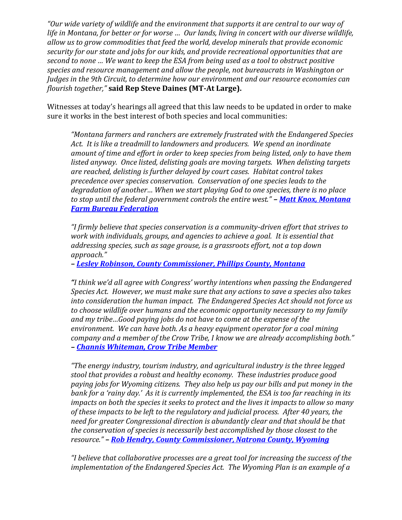*"Our wide variety of wildlife and the environment that supports it are central to our way of life in Montana, for better or for worse … Our lands, living in concert with our diverse wildlife, allow us to grow commodities that feed the world, develop minerals that provide economic security for our state and jobs for our kids, and provide recreational opportunities that are second to none … We want to keep the ESA from being used as a tool to obstruct positive species and resource management and allow the people, not bureaucrats in Washington or Judges in the 9th Circuit, to determine how our environment and our resource economies can flourish together,"* **said Rep Steve Daines (MT-At Large).**

Witnesses at today's hearings all agreed that this law needs to be updated in order to make sure it works in the best interest of both species and local communities:

*"Montana farmers and ranchers are extremely frustrated with the Endangered Species Act. It is like a treadmill to landowners and producers. We spend an inordinate amount of time and effort in order to keep species from being listed, only to have them listed anyway. Once listed, delisting goals are moving targets. When delisting targets are reached, delisting is further delayed by court cases. Habitat control takes precedence over species conservation. Conservation of one species leads to the degradation of another… When we start playing God to one species, there is no place to stop until the federal government controls the entire west." – [Matt Knox, Montana](http://naturalresources.house.gov/uploadedfiles/knoxtestimony09-04-13.pdf)  [Farm Bureau Federation](http://naturalresources.house.gov/uploadedfiles/knoxtestimony09-04-13.pdf)*

*"I firmly believe that species conservation is a community-driven effort that strives to work with individuals, groups, and agencies to achieve a goal. It is essential that addressing species, such as sage grouse, is a grassroots effort, not a top down approach."* 

*– [Lesley Robinson, County Commissioner, Phillips County, Montana](http://naturalresources.house.gov/uploadedfiles/robinsontestimony09-04-13.pdf)*

*"I think we'd all agree with Congress' worthy intentions when passing the Endangered Species Act. However, we must make sure that any actions to save a species also takes into consideration the human impact. The Endangered Species Act should not force us to choose wildlife over humans and the economic opportunity necessary to my family and my tribe…Good paying jobs do not have to come at the expense of the environment. We can have both. As a heavy equipment operator for a coal mining company and a member of the Crow Tribe, I know we are already accomplishing both." – [Channis Whiteman, Crow Tribe Member](http://naturalresources.house.gov/uploadedfiles/whitemantestimony09-04-13.pdf)*

*"The energy industry, tourism industry, and agricultural industry is the three legged stool that provides a robust and healthy economy. These industries produce good paying jobs for Wyoming citizens. They also help us pay our bills and put money in the bank for a 'rainy day.' As it is currently implemented, the ESA is too far reaching in its impacts on both the species it seeks to protect and the lives it impacts to allow so many of these impacts to be left to the regulatory and judicial process. After 40 years, the need for greater Congressional direction is abundantly clear and that should be that the conservation of species is necessarily best accomplished by those closest to the resource." – [Rob Hendry, County Commissioner, Natrona County, Wyoming](http://naturalresources.house.gov/uploadedfiles/hendrytestimony09-04-13.pdf)*

*"I believe that collaborative processes are a great tool for increasing the success of the implementation of the Endangered Species Act. The Wyoming Plan is an example of a*